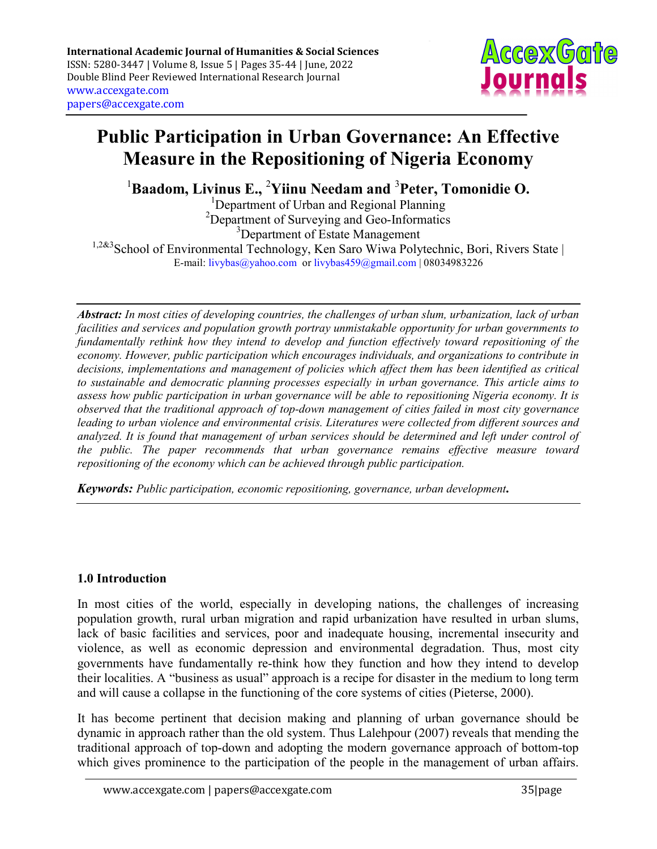

# Public Participation in Urban Governance: An Effective Measure in the Repositioning of Nigeria Economy

 $1$ Baadom, Livinus E., <sup>2</sup>Yiinu Needam and <sup>3</sup>Peter, Tomonidie O.

<sup>1</sup>Department of Urban and Regional Planning <sup>2</sup>Department of Surveying and Geo-Informatics <sup>3</sup>Department of Estate Management  $1,2\&3$ School of Environmental Technology, Ken Saro Wiwa Polytechnic, Bori, Rivers State | E-mail: livybas@yahoo.com or livybas459@gmail.com | 08034983226

Abstract: In most cities of developing countries, the challenges of urban slum, urbanization, lack of urban facilities and services and population growth portray unmistakable opportunity for urban governments to fundamentally rethink how they intend to develop and function effectively toward repositioning of the economy. However, public participation which encourages individuals, and organizations to contribute in decisions, implementations and management of policies which affect them has been identified as critical to sustainable and democratic planning processes especially in urban governance. This article aims to assess how public participation in urban governance will be able to repositioning Nigeria economy. It is observed that the traditional approach of top-down management of cities failed in most city governance leading to urban violence and environmental crisis. Literatures were collected from different sources and analyzed. It is found that management of urban services should be determined and left under control of the public. The paper recommends that urban governance remains effective measure toward repositioning of the economy which can be achieved through public participation.

Keywords: Public participation, economic repositioning, governance, urban development.

# 1.0 Introduction

In most cities of the world, especially in developing nations, the challenges of increasing population growth, rural urban migration and rapid urbanization have resulted in urban slums, lack of basic facilities and services, poor and inadequate housing, incremental insecurity and violence, as well as economic depression and environmental degradation. Thus, most city governments have fundamentally re-think how they function and how they intend to develop their localities. A "business as usual" approach is a recipe for disaster in the medium to long term and will cause a collapse in the functioning of the core systems of cities (Pieterse, 2000).

It has become pertinent that decision making and planning of urban governance should be dynamic in approach rather than the old system. Thus Lalehpour (2007) reveals that mending the traditional approach of top-down and adopting the modern governance approach of bottom-top which gives prominence to the participation of the people in the management of urban affairs.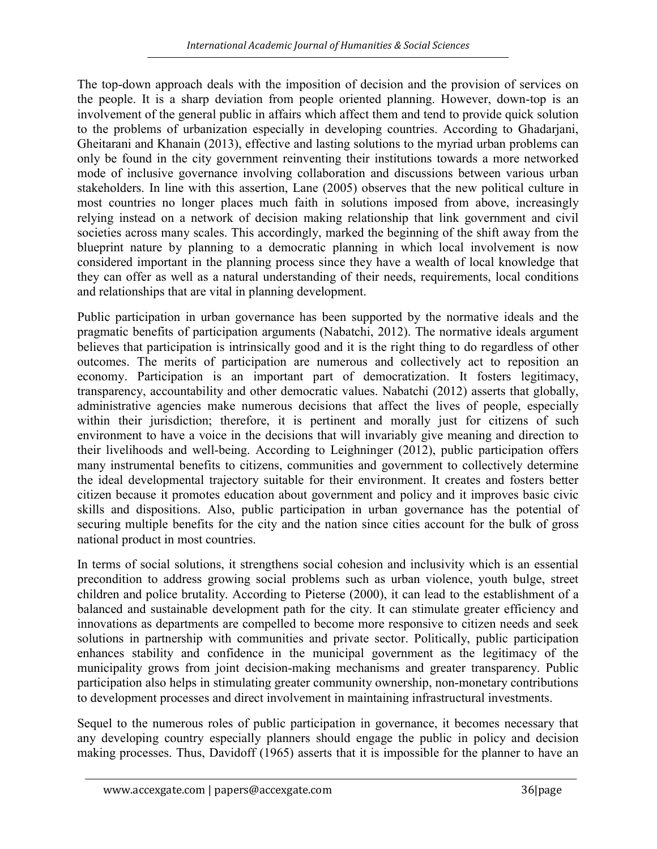The top-down approach deals with the imposition of decision and the provision of services on the people. It is a sharp deviation from people oriented planning. However, down-top is an involvement of the general public in affairs which affect them and tend to provide quick solution to the problems of urbanization especially in developing countries. According to Ghadarjani, Gheitarani and Khanain (2013), effective and lasting solutions to the myriad urban problems can only be found in the city government reinventing their institutions towards a more networked mode of inclusive governance involving collaboration and discussions between various urban stakeholders. In line with this assertion, Lane (2005) observes that the new political culture in most countries no longer places much faith in solutions imposed from above, increasingly relying instead on a network of decision making relationship that link government and civil societies across many scales. This accordingly, marked the beginning of the shift away from the blueprint nature by planning to a democratic planning in which local involvement is now considered important in the planning process since they have a wealth of local knowledge that they can offer as well as a natural understanding of their needs, requirements, local conditions and relationships that are vital in planning development.

Public participation in urban governance has been supported by the normative ideals and the pragmatic benefits of participation arguments (Nabatchi, 2012). The normative ideals argument believes that participation is intrinsically good and it is the right thing to do regardless of other outcomes. The merits of participation are numerous and collectively act to reposition an economy. Participation is an important part of democratization. It fosters legitimacy, transparency, accountability and other democratic values. Nabatchi (2012) asserts that globally, administrative agencies make numerous decisions that affect the lives of people, especially within their jurisdiction; therefore, it is pertinent and morally just for citizens of such environment to have a voice in the decisions that will invariably give meaning and direction to their livelihoods and well-being. According to Leighninger (2012), public participation offers many instrumental benefits to citizens, communities and government to collectively determine the ideal developmental trajectory suitable for their environment. It creates and fosters better citizen because it promotes education about government and policy and it improves basic civic skills and dispositions. Also, public participation in urban governance has the potential of securing multiple benefits for the city and the nation since cities account for the bulk of gross national product in most countries.

In terms of social solutions, it strengthens social cohesion and inclusivity which is an essential precondition to address growing social problems such as urban violence, youth bulge, street children and police brutality. According to Pieterse (2000), it can lead to the establishment of a balanced and sustainable development path for the city. It can stimulate greater efficiency and innovations as departments are compelled to become more responsive to citizen needs and seek solutions in partnership with communities and private sector. Politically, public participation enhances stability and confidence in the municipal government as the legitimacy of the municipality grows from joint decision-making mechanisms and greater transparency. Public participation also helps in stimulating greater community ownership, non-monetary contributions to development processes and direct involvement in maintaining infrastructural investments.

Sequel to the numerous roles of public participation in governance, it becomes necessary that any developing country especially planners should engage the public in policy and decision making processes. Thus, Davidoff (1965) asserts that it is impossible for the planner to have an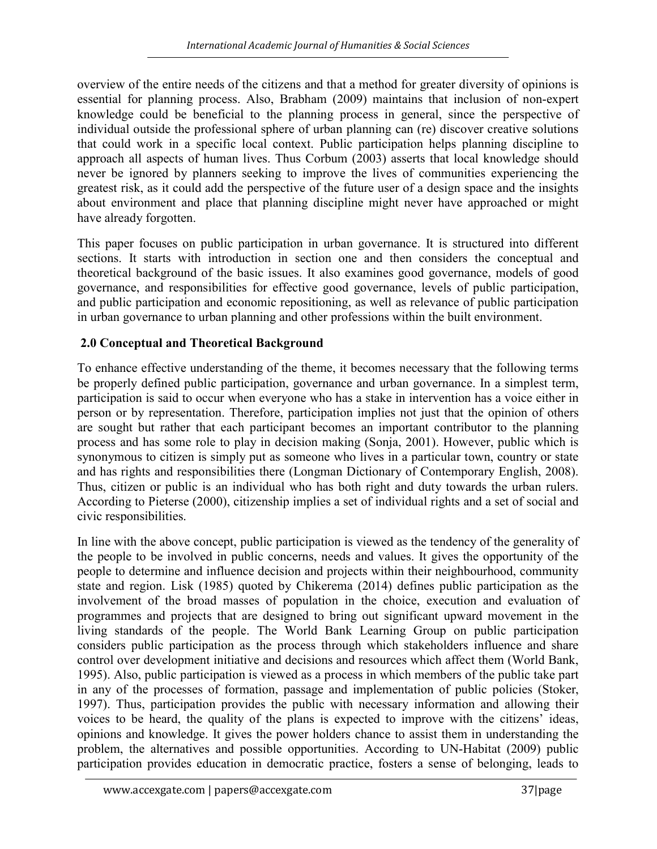overview of the entire needs of the citizens and that a method for greater diversity of opinions is essential for planning process. Also, Brabham (2009) maintains that inclusion of non-expert knowledge could be beneficial to the planning process in general, since the perspective of individual outside the professional sphere of urban planning can (re) discover creative solutions that could work in a specific local context. Public participation helps planning discipline to approach all aspects of human lives. Thus Corbum (2003) asserts that local knowledge should never be ignored by planners seeking to improve the lives of communities experiencing the greatest risk, as it could add the perspective of the future user of a design space and the insights about environment and place that planning discipline might never have approached or might have already forgotten.

This paper focuses on public participation in urban governance. It is structured into different sections. It starts with introduction in section one and then considers the conceptual and theoretical background of the basic issues. It also examines good governance, models of good governance, and responsibilities for effective good governance, levels of public participation, and public participation and economic repositioning, as well as relevance of public participation in urban governance to urban planning and other professions within the built environment.

## 2.0 Conceptual and Theoretical Background

To enhance effective understanding of the theme, it becomes necessary that the following terms be properly defined public participation, governance and urban governance. In a simplest term, participation is said to occur when everyone who has a stake in intervention has a voice either in person or by representation. Therefore, participation implies not just that the opinion of others are sought but rather that each participant becomes an important contributor to the planning process and has some role to play in decision making (Sonja, 2001). However, public which is synonymous to citizen is simply put as someone who lives in a particular town, country or state and has rights and responsibilities there (Longman Dictionary of Contemporary English, 2008). Thus, citizen or public is an individual who has both right and duty towards the urban rulers. According to Pieterse (2000), citizenship implies a set of individual rights and a set of social and civic responsibilities.

In line with the above concept, public participation is viewed as the tendency of the generality of the people to be involved in public concerns, needs and values. It gives the opportunity of the people to determine and influence decision and projects within their neighbourhood, community state and region. Lisk (1985) quoted by Chikerema (2014) defines public participation as the involvement of the broad masses of population in the choice, execution and evaluation of programmes and projects that are designed to bring out significant upward movement in the living standards of the people. The World Bank Learning Group on public participation considers public participation as the process through which stakeholders influence and share control over development initiative and decisions and resources which affect them (World Bank, 1995). Also, public participation is viewed as a process in which members of the public take part in any of the processes of formation, passage and implementation of public policies (Stoker, 1997). Thus, participation provides the public with necessary information and allowing their voices to be heard, the quality of the plans is expected to improve with the citizens' ideas, opinions and knowledge. It gives the power holders chance to assist them in understanding the problem, the alternatives and possible opportunities. According to UN-Habitat (2009) public participation provides education in democratic practice, fosters a sense of belonging, leads to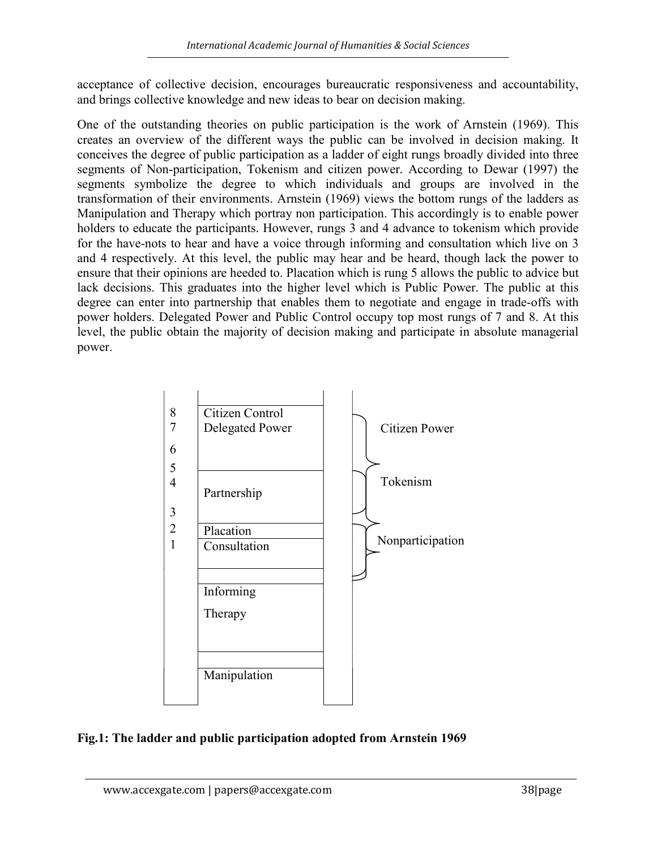acceptance of collective decision, encourages bureaucratic responsiveness and accountability, and brings collective knowledge and new ideas to bear on decision making.

One of the outstanding theories on public participation is the work of Arnstein (1969). This creates an overview of the different ways the public can be involved in decision making. It conceives the degree of public participation as a ladder of eight rungs broadly divided into three segments of Non-participation, Tokenism and citizen power. According to Dewar (1997) the segments symbolize the degree to which individuals and groups are involved in the transformation of their environments. Arnstein (1969) views the bottom rungs of the ladders as Manipulation and Therapy which portray non participation. This accordingly is to enable power holders to educate the participants. However, rungs 3 and 4 advance to tokenism which provide for the have-nots to hear and have a voice through informing and consultation which live on 3 and 4 respectively. At this level, the public may hear and be heard, though lack the power to ensure that their opinions are heeded to. Placation which is rung 5 allows the public to advice but lack decisions. This graduates into the higher level which is Public Power. The public at this degree can enter into partnership that enables them to negotiate and engage in trade-offs with power holders. Delegated Power and Public Control occupy top most rungs of 7 and 8. At this level, the public obtain the majority of decision making and participate in absolute managerial power.



## Fig.1: The ladder and public participation adopted from Arnstein 1969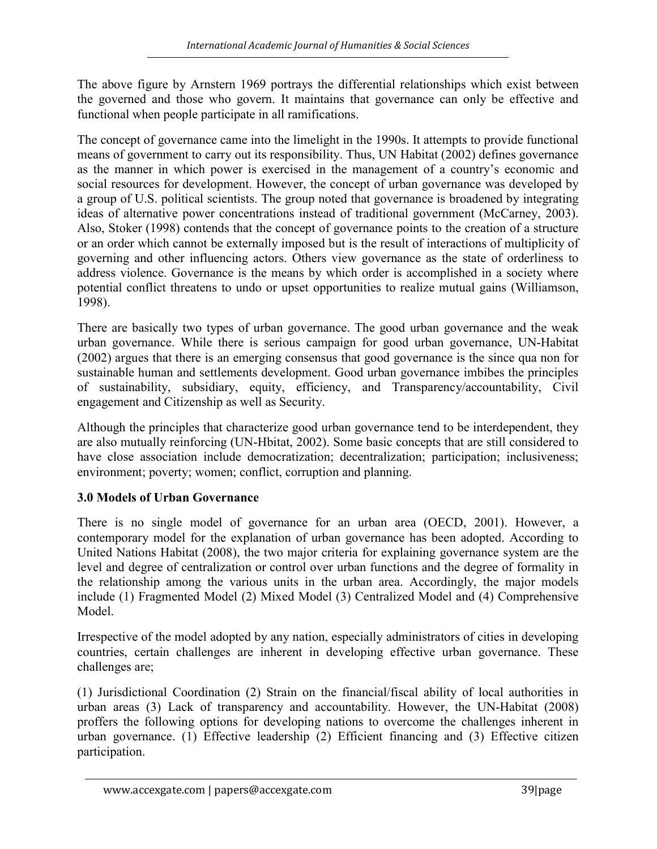The above figure by Arnstern 1969 portrays the differential relationships which exist between the governed and those who govern. It maintains that governance can only be effective and functional when people participate in all ramifications.

The concept of governance came into the limelight in the 1990s. It attempts to provide functional means of government to carry out its responsibility. Thus, UN Habitat (2002) defines governance as the manner in which power is exercised in the management of a country's economic and social resources for development. However, the concept of urban governance was developed by a group of U.S. political scientists. The group noted that governance is broadened by integrating ideas of alternative power concentrations instead of traditional government (McCarney, 2003). Also, Stoker (1998) contends that the concept of governance points to the creation of a structure or an order which cannot be externally imposed but is the result of interactions of multiplicity of governing and other influencing actors. Others view governance as the state of orderliness to address violence. Governance is the means by which order is accomplished in a society where potential conflict threatens to undo or upset opportunities to realize mutual gains (Williamson, 1998).

There are basically two types of urban governance. The good urban governance and the weak urban governance. While there is serious campaign for good urban governance, UN-Habitat (2002) argues that there is an emerging consensus that good governance is the since qua non for sustainable human and settlements development. Good urban governance imbibes the principles of sustainability, subsidiary, equity, efficiency, and Transparency/accountability, Civil engagement and Citizenship as well as Security.

Although the principles that characterize good urban governance tend to be interdependent, they are also mutually reinforcing (UN-Hbitat, 2002). Some basic concepts that are still considered to have close association include democratization; decentralization; participation; inclusiveness; environment; poverty; women; conflict, corruption and planning.

# 3.0 Models of Urban Governance

There is no single model of governance for an urban area (OECD, 2001). However, a contemporary model for the explanation of urban governance has been adopted. According to United Nations Habitat (2008), the two major criteria for explaining governance system are the level and degree of centralization or control over urban functions and the degree of formality in the relationship among the various units in the urban area. Accordingly, the major models include (1) Fragmented Model (2) Mixed Model (3) Centralized Model and (4) Comprehensive Model.

Irrespective of the model adopted by any nation, especially administrators of cities in developing countries, certain challenges are inherent in developing effective urban governance. These challenges are;

(1) Jurisdictional Coordination (2) Strain on the financial/fiscal ability of local authorities in urban areas (3) Lack of transparency and accountability. However, the UN-Habitat (2008) proffers the following options for developing nations to overcome the challenges inherent in urban governance. (1) Effective leadership (2) Efficient financing and (3) Effective citizen participation.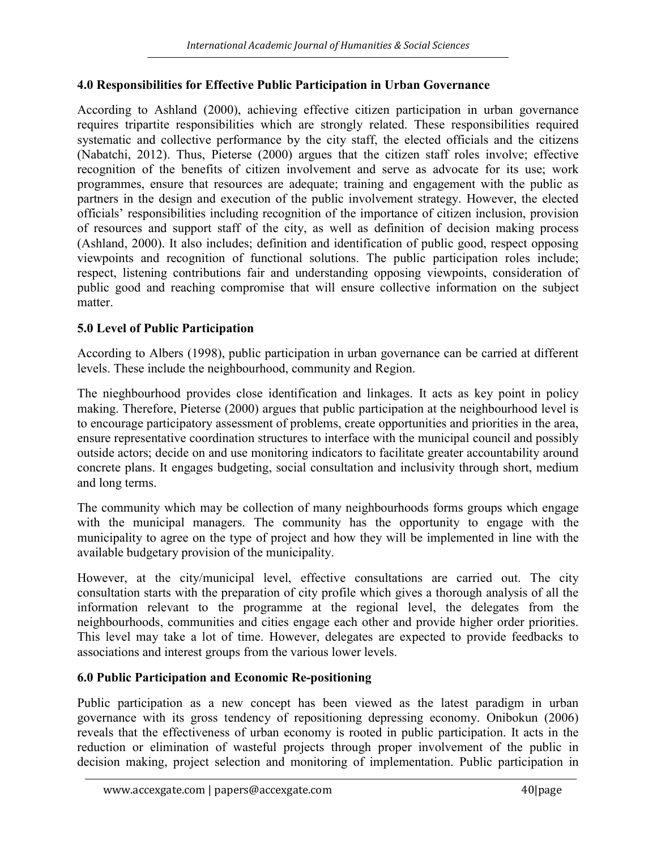## 4.0 Responsibilities for Effective Public Participation in Urban Governance

According to Ashland (2000), achieving effective citizen participation in urban governance requires tripartite responsibilities which are strongly related. These responsibilities required systematic and collective performance by the city staff, the elected officials and the citizens (Nabatchi, 2012). Thus, Pieterse (2000) argues that the citizen staff roles involve; effective recognition of the benefits of citizen involvement and serve as advocate for its use; work programmes, ensure that resources are adequate; training and engagement with the public as partners in the design and execution of the public involvement strategy. However, the elected officials' responsibilities including recognition of the importance of citizen inclusion, provision of resources and support staff of the city, as well as definition of decision making process (Ashland, 2000). It also includes; definition and identification of public good, respect opposing viewpoints and recognition of functional solutions. The public participation roles include; respect, listening contributions fair and understanding opposing viewpoints, consideration of public good and reaching compromise that will ensure collective information on the subject matter.

## 5.0 Level of Public Participation

According to Albers (1998), public participation in urban governance can be carried at different levels. These include the neighbourhood, community and Region.

The nieghbourhood provides close identification and linkages. It acts as key point in policy making. Therefore, Pieterse (2000) argues that public participation at the neighbourhood level is to encourage participatory assessment of problems, create opportunities and priorities in the area, ensure representative coordination structures to interface with the municipal council and possibly outside actors; decide on and use monitoring indicators to facilitate greater accountability around concrete plans. It engages budgeting, social consultation and inclusivity through short, medium and long terms.

The community which may be collection of many neighbourhoods forms groups which engage with the municipal managers. The community has the opportunity to engage with the municipality to agree on the type of project and how they will be implemented in line with the available budgetary provision of the municipality.

However, at the city/municipal level, effective consultations are carried out. The city consultation starts with the preparation of city profile which gives a thorough analysis of all the information relevant to the programme at the regional level, the delegates from the neighbourhoods, communities and cities engage each other and provide higher order priorities. This level may take a lot of time. However, delegates are expected to provide feedbacks to associations and interest groups from the various lower levels.

## 6.0 Public Participation and Economic Re-positioning

Public participation as a new concept has been viewed as the latest paradigm in urban governance with its gross tendency of repositioning depressing economy. Onibokun (2006) reveals that the effectiveness of urban economy is rooted in public participation. It acts in the reduction or elimination of wasteful projects through proper involvement of the public in decision making, project selection and monitoring of implementation. Public participation in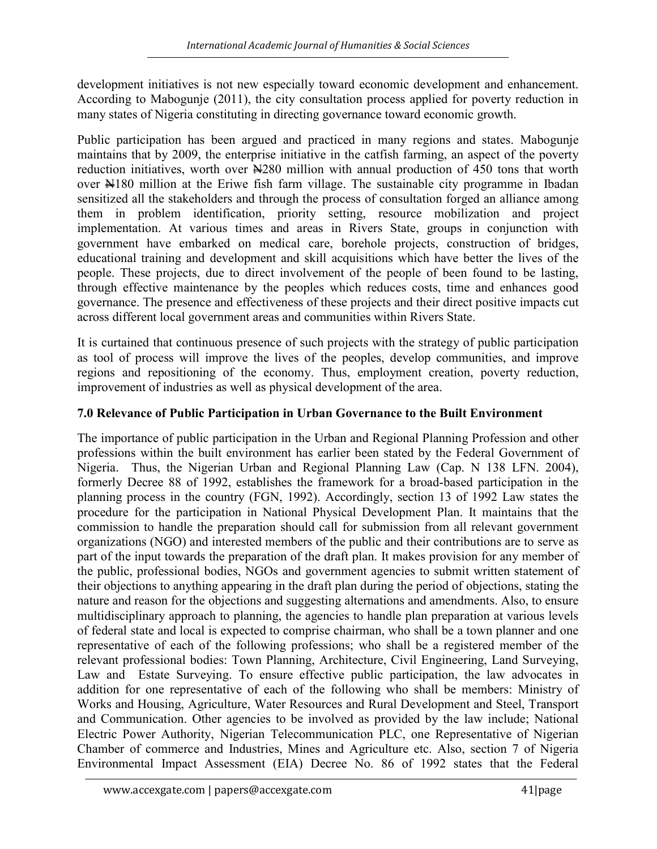development initiatives is not new especially toward economic development and enhancement. According to Mabogunje (2011), the city consultation process applied for poverty reduction in many states of Nigeria constituting in directing governance toward economic growth.

Public participation has been argued and practiced in many regions and states. Mabogunje maintains that by 2009, the enterprise initiative in the catfish farming, an aspect of the poverty reduction initiatives, worth over  $\aleph 280$  million with annual production of 450 tons that worth over N180 million at the Eriwe fish farm village. The sustainable city programme in Ibadan sensitized all the stakeholders and through the process of consultation forged an alliance among them in problem identification, priority setting, resource mobilization and project implementation. At various times and areas in Rivers State, groups in conjunction with government have embarked on medical care, borehole projects, construction of bridges, educational training and development and skill acquisitions which have better the lives of the people. These projects, due to direct involvement of the people of been found to be lasting, through effective maintenance by the peoples which reduces costs, time and enhances good governance. The presence and effectiveness of these projects and their direct positive impacts cut across different local government areas and communities within Rivers State.

It is curtained that continuous presence of such projects with the strategy of public participation as tool of process will improve the lives of the peoples, develop communities, and improve regions and repositioning of the economy. Thus, employment creation, poverty reduction, improvement of industries as well as physical development of the area.

## 7.0 Relevance of Public Participation in Urban Governance to the Built Environment

The importance of public participation in the Urban and Regional Planning Profession and other professions within the built environment has earlier been stated by the Federal Government of Nigeria. Thus, the Nigerian Urban and Regional Planning Law (Cap. N 138 LFN. 2004), formerly Decree 88 of 1992, establishes the framework for a broad-based participation in the planning process in the country (FGN, 1992). Accordingly, section 13 of 1992 Law states the procedure for the participation in National Physical Development Plan. It maintains that the commission to handle the preparation should call for submission from all relevant government organizations (NGO) and interested members of the public and their contributions are to serve as part of the input towards the preparation of the draft plan. It makes provision for any member of the public, professional bodies, NGOs and government agencies to submit written statement of their objections to anything appearing in the draft plan during the period of objections, stating the nature and reason for the objections and suggesting alternations and amendments. Also, to ensure multidisciplinary approach to planning, the agencies to handle plan preparation at various levels of federal state and local is expected to comprise chairman, who shall be a town planner and one representative of each of the following professions; who shall be a registered member of the relevant professional bodies: Town Planning, Architecture, Civil Engineering, Land Surveying, Law and Estate Surveying. To ensure effective public participation, the law advocates in addition for one representative of each of the following who shall be members: Ministry of Works and Housing, Agriculture, Water Resources and Rural Development and Steel, Transport and Communication. Other agencies to be involved as provided by the law include; National Electric Power Authority, Nigerian Telecommunication PLC, one Representative of Nigerian Chamber of commerce and Industries, Mines and Agriculture etc. Also, section 7 of Nigeria Environmental Impact Assessment (EIA) Decree No. 86 of 1992 states that the Federal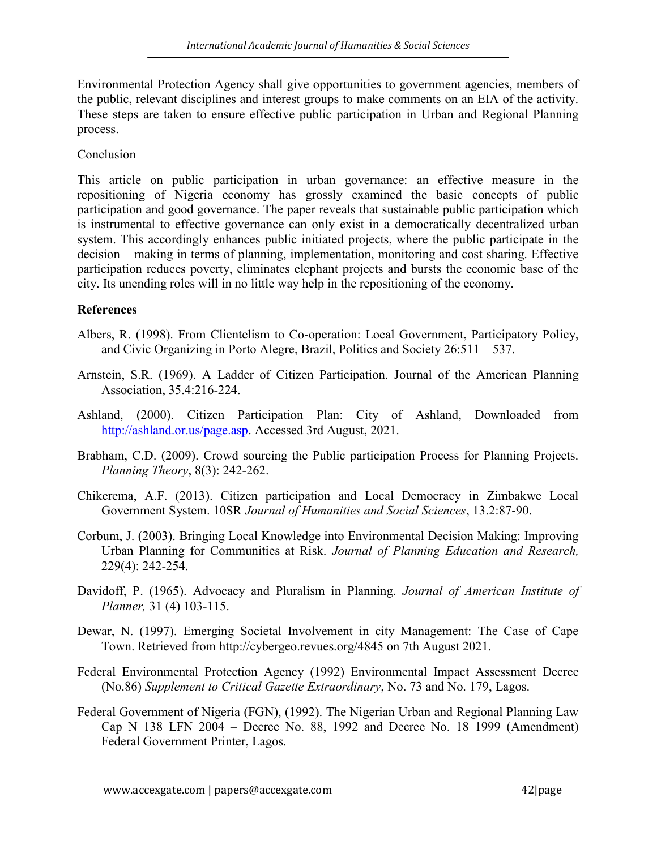Environmental Protection Agency shall give opportunities to government agencies, members of the public, relevant disciplines and interest groups to make comments on an EIA of the activity. These steps are taken to ensure effective public participation in Urban and Regional Planning process.

#### Conclusion

This article on public participation in urban governance: an effective measure in the repositioning of Nigeria economy has grossly examined the basic concepts of public participation and good governance. The paper reveals that sustainable public participation which is instrumental to effective governance can only exist in a democratically decentralized urban system. This accordingly enhances public initiated projects, where the public participate in the decision – making in terms of planning, implementation, monitoring and cost sharing. Effective participation reduces poverty, eliminates elephant projects and bursts the economic base of the city. Its unending roles will in no little way help in the repositioning of the economy.

## References

- Albers, R. (1998). From Clientelism to Co-operation: Local Government, Participatory Policy, and Civic Organizing in Porto Alegre, Brazil, Politics and Society 26:511 – 537.
- Arnstein, S.R. (1969). A Ladder of Citizen Participation. Journal of the American Planning Association, 35.4:216-224.
- Ashland, (2000). Citizen Participation Plan: City of Ashland, Downloaded from http://ashland.or.us/page.asp. Accessed 3rd August, 2021.
- Brabham, C.D. (2009). Crowd sourcing the Public participation Process for Planning Projects. Planning Theory, 8(3): 242-262.
- Chikerema, A.F. (2013). Citizen participation and Local Democracy in Zimbakwe Local Government System. 10SR Journal of Humanities and Social Sciences, 13.2:87-90.
- Corbum, J. (2003). Bringing Local Knowledge into Environmental Decision Making: Improving Urban Planning for Communities at Risk. Journal of Planning Education and Research, 229(4): 242-254.
- Davidoff, P. (1965). Advocacy and Pluralism in Planning. Journal of American Institute of Planner, 31 (4) 103-115.
- Dewar, N. (1997). Emerging Societal Involvement in city Management: The Case of Cape Town. Retrieved from http://cybergeo.revues.org/4845 on 7th August 2021.
- Federal Environmental Protection Agency (1992) Environmental Impact Assessment Decree (No.86) Supplement to Critical Gazette Extraordinary, No. 73 and No. 179, Lagos.
- Federal Government of Nigeria (FGN), (1992). The Nigerian Urban and Regional Planning Law Cap N 138 LFN 2004 – Decree No. 88, 1992 and Decree No. 18 1999 (Amendment) Federal Government Printer, Lagos.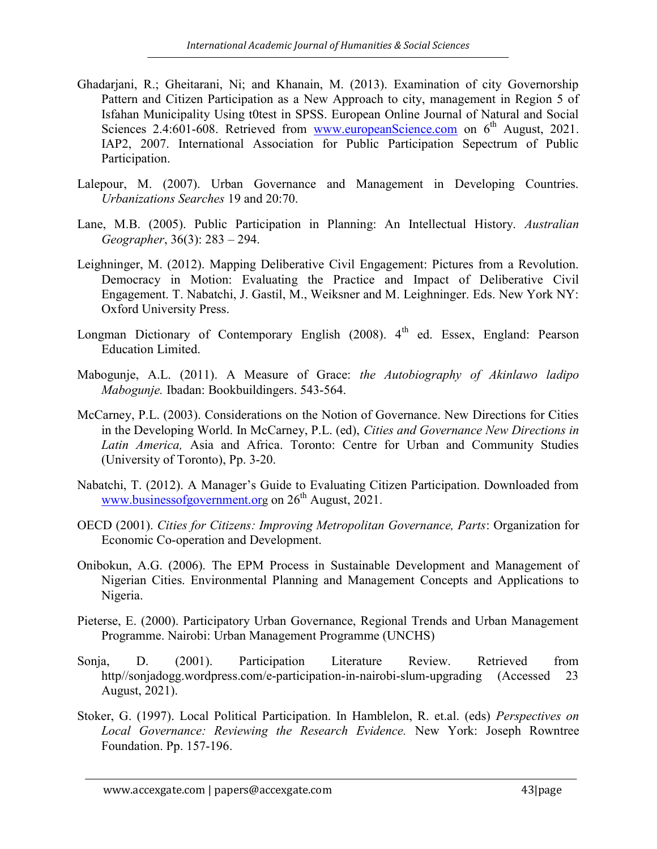- Ghadarjani, R.; Gheitarani, Ni; and Khanain, M. (2013). Examination of city Governorship Pattern and Citizen Participation as a New Approach to city, management in Region 5 of Isfahan Municipality Using t0test in SPSS. European Online Journal of Natural and Social Sciences 2.4:601-608. Retrieved from www.europeanScience.com on 6<sup>th</sup> August, 2021. IAP2, 2007. International Association for Public Participation Sepectrum of Public Participation.
- Lalepour, M. (2007). Urban Governance and Management in Developing Countries. Urbanizations Searches 19 and 20:70.
- Lane, M.B. (2005). Public Participation in Planning: An Intellectual History. Australian Geographer, 36(3): 283 – 294.
- Leighninger, M. (2012). Mapping Deliberative Civil Engagement: Pictures from a Revolution. Democracy in Motion: Evaluating the Practice and Impact of Deliberative Civil Engagement. T. Nabatchi, J. Gastil, M., Weiksner and M. Leighninger. Eds. New York NY: Oxford University Press.
- Longman Dictionary of Contemporary English  $(2008)$ . 4<sup>th</sup> ed. Essex, England: Pearson Education Limited.
- Mabogunje, A.L. (2011). A Measure of Grace: the Autobiography of Akinlawo ladipo Mabogunje. Ibadan: Bookbuildingers. 543-564.
- McCarney, P.L. (2003). Considerations on the Notion of Governance. New Directions for Cities in the Developing World. In McCarney, P.L. (ed), Cities and Governance New Directions in Latin America, Asia and Africa. Toronto: Centre for Urban and Community Studies (University of Toronto), Pp. 3-20.
- Nabatchi, T. (2012). A Manager's Guide to Evaluating Citizen Participation. Downloaded from www.businessofgovernment.org on  $26<sup>th</sup>$  August, 2021.
- OECD (2001). Cities for Citizens: Improving Metropolitan Governance, Parts: Organization for Economic Co-operation and Development.
- Onibokun, A.G. (2006). The EPM Process in Sustainable Development and Management of Nigerian Cities. Environmental Planning and Management Concepts and Applications to Nigeria.
- Pieterse, E. (2000). Participatory Urban Governance, Regional Trends and Urban Management Programme. Nairobi: Urban Management Programme (UNCHS)
- Sonja, D. (2001). Participation Literature Review. Retrieved from http//sonjadogg.wordpress.com/e-participation-in-nairobi-slum-upgrading (Accessed 23 August, 2021).
- Stoker, G. (1997). Local Political Participation. In Hamblelon, R. et.al. (eds) Perspectives on Local Governance: Reviewing the Research Evidence. New York: Joseph Rowntree Foundation. Pp. 157-196.